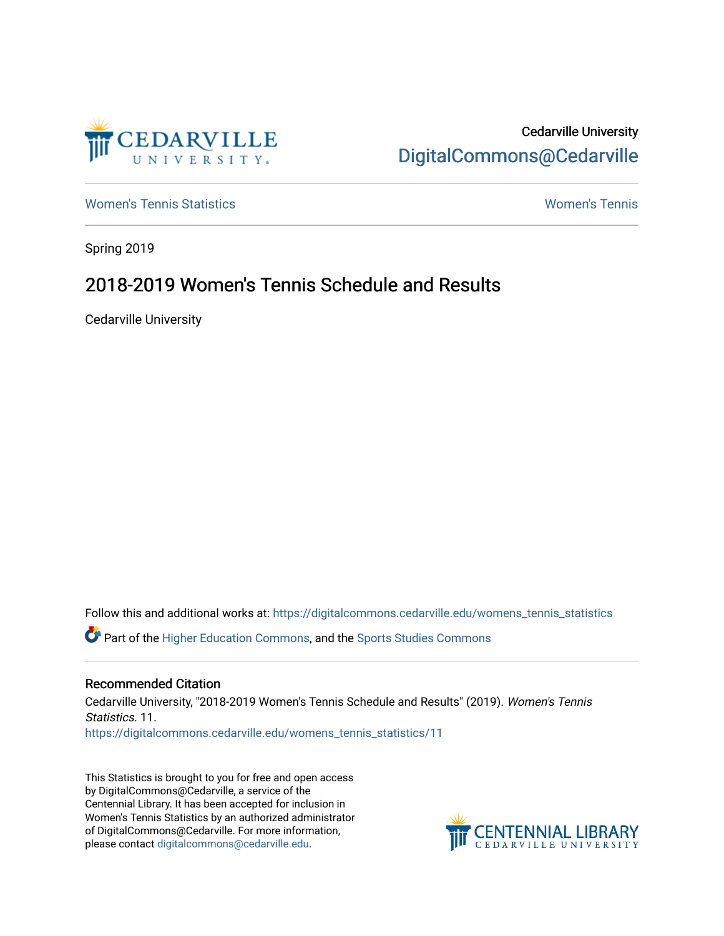

# Cedarville University [DigitalCommons@Cedarville](https://digitalcommons.cedarville.edu/)

[Women's Tennis Statistics](https://digitalcommons.cedarville.edu/womens_tennis_statistics) [Women's Tennis](https://digitalcommons.cedarville.edu/womens_tennis) 

Spring 2019

# 2018-2019 Women's Tennis Schedule and Results

Cedarville University

Follow this and additional works at: [https://digitalcommons.cedarville.edu/womens\\_tennis\\_statistics](https://digitalcommons.cedarville.edu/womens_tennis_statistics?utm_source=digitalcommons.cedarville.edu%2Fwomens_tennis_statistics%2F11&utm_medium=PDF&utm_campaign=PDFCoverPages)  Part of the [Higher Education Commons,](http://network.bepress.com/hgg/discipline/1245?utm_source=digitalcommons.cedarville.edu%2Fwomens_tennis_statistics%2F11&utm_medium=PDF&utm_campaign=PDFCoverPages) and the [Sports Studies Commons](http://network.bepress.com/hgg/discipline/1198?utm_source=digitalcommons.cedarville.edu%2Fwomens_tennis_statistics%2F11&utm_medium=PDF&utm_campaign=PDFCoverPages) 

## Recommended Citation

Cedarville University, "2018-2019 Women's Tennis Schedule and Results" (2019). Women's Tennis Statistics. 11. [https://digitalcommons.cedarville.edu/womens\\_tennis\\_statistics/11](https://digitalcommons.cedarville.edu/womens_tennis_statistics/11?utm_source=digitalcommons.cedarville.edu%2Fwomens_tennis_statistics%2F11&utm_medium=PDF&utm_campaign=PDFCoverPages) 

This Statistics is brought to you for free and open access by DigitalCommons@Cedarville, a service of the Centennial Library. It has been accepted for inclusion in Women's Tennis Statistics by an authorized administrator of DigitalCommons@Cedarville. For more information, please contact [digitalcommons@cedarville.edu](mailto:digitalcommons@cedarville.edu).